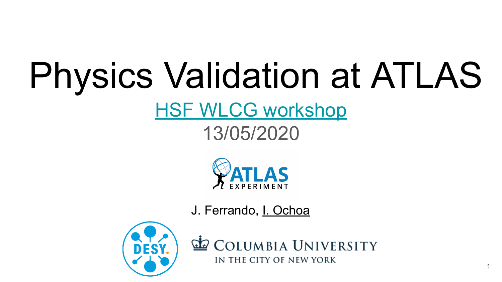# Physics Validation at ATLAS

## **[HSF WLCG workshop](https://indico.cern.ch/event/908146/)**

#### 13/05/2020



J. Ferrando, I. Ochoa



**COLUMBIA UNIVERSITY** IN THE CITY OF NEW YORK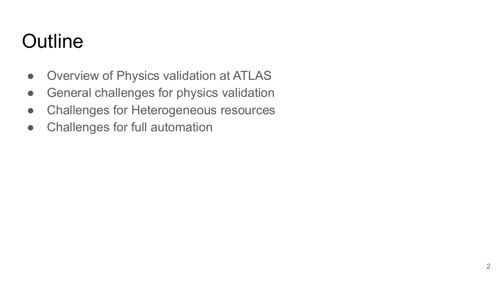## **Outline**

- Overview of Physics validation at ATLAS
- **•** General challenges for physics validation
- Challenges for Heterogeneous resources
- Challenges for full automation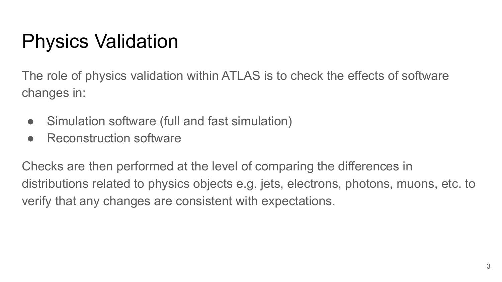## Physics Validation

The role of physics validation within ATLAS is to check the effects of software changes in:

- Simulation software (full and fast simulation)
- Reconstruction software

Checks are then performed at the level of comparing the differences in distributions related to physics objects e.g. jets, electrons, photons, muons, etc. to verify that any changes are consistent with expectations.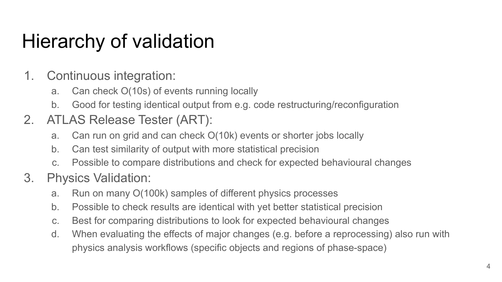## Hierarchy of validation

- 1. Continuous integration:
	- a. Can check O(10s) of events running locally
	- b. Good for testing identical output from e.g. code restructuring/reconfiguration
- 2. ATLAS Release Tester (ART):
	- a. Can run on grid and can check O(10k) events or shorter jobs locally
	- b. Can test similarity of output with more statistical precision
	- c. Possible to compare distributions and check for expected behavioural changes
- 3. Physics Validation:
	- a. Run on many O(100k) samples of different physics processes
	- b. Possible to check results are identical with yet better statistical precision
	- c. Best for comparing distributions to look for expected behavioural changes
	- d. When evaluating the effects of major changes (e.g. before a reprocessing) also run with physics analysis workflows (specific objects and regions of phase-space)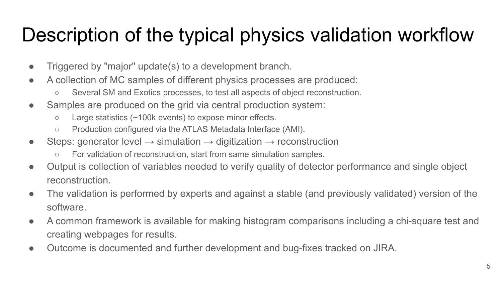## Description of the typical physics validation workflow

- Triggered by "major" update(s) to a development branch.
- A collection of MC samples of different physics processes are produced:
	- Several SM and Exotics processes, to test all aspects of object reconstruction.
- Samples are produced on the grid via central production system:
	- Large statistics (~100k events) to expose minor effects.
	- Production configured via the ATLAS Metadata Interface (AMI).
- Steps: generator level  $\rightarrow$  simulation  $\rightarrow$  digitization  $\rightarrow$  reconstruction
	- For validation of reconstruction, start from same simulation samples.
- Output is collection of variables needed to verify quality of detector performance and single object reconstruction.
- The validation is performed by experts and against a stable (and previously validated) version of the software.
- A common framework is available for making histogram comparisons including a chi-square test and creating webpages for results.
- Outcome is documented and further development and bug-fixes tracked on JIRA.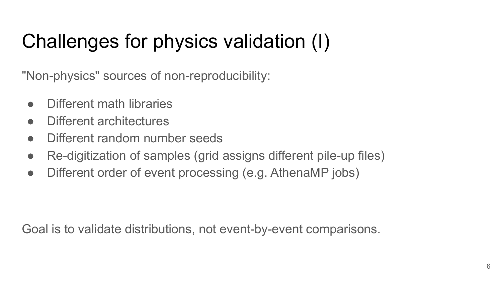# Challenges for physics validation (I)

"Non-physics" sources of non-reproducibility:

- Different math libraries
- Different architectures
- Different random number seeds
- Re-digitization of samples (grid assigns different pile-up files)
- Different order of event processing (e.g. AthenaMP jobs)

Goal is to validate distributions, not event-by-event comparisons.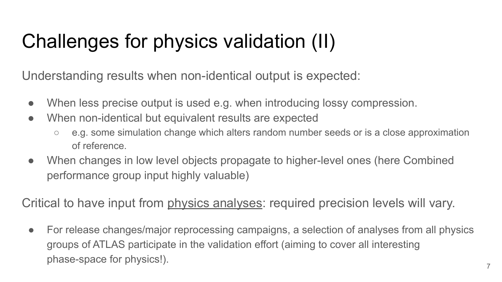## Challenges for physics validation (II)

Understanding results when non-identical output is expected:

- When less precise output is used e.g. when introducing lossy compression.
- When non-identical but equivalent results are expected
	- e.g. some simulation change which alters random number seeds or is a close approximation of reference.
- When changes in low level objects propagate to higher-level ones (here Combined performance group input highly valuable)

Critical to have input from physics analyses: required precision levels will vary.

• For release changes/major reprocessing campaigns, a selection of analyses from all physics groups of ATLAS participate in the validation effort (aiming to cover all interesting phase-space for physics!).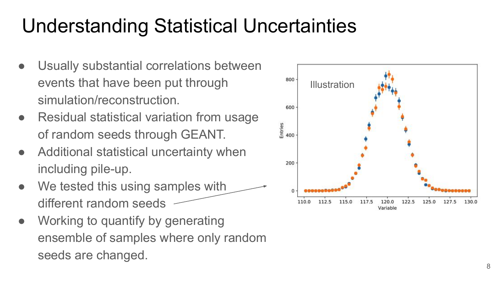## Understanding Statistical Uncertainties

- Usually substantial correlations between events that have been put through simulation/reconstruction.
- Residual statistical variation from usage of random seeds through GEANT.
- Additional statistical uncertainty when including pile-up.
- We tested this using samples with different random seeds
- Working to quantify by generating ensemble of samples where only random seeds are changed.

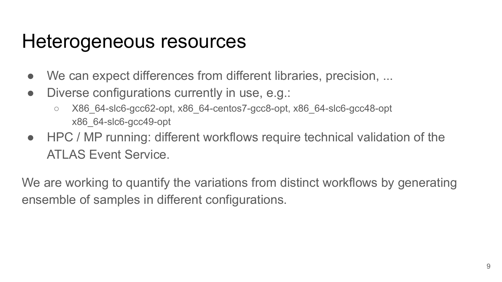#### Heterogeneous resources

- We can expect differences from different libraries, precision, ...
- Diverse configurations currently in use, e.g.:
	- X86\_64-slc6-gcc62-opt, x86\_64-centos7-gcc8-opt, x86\_64-slc6-gcc48-opt x86\_64-slc6-gcc49-opt
- HPC / MP running: different workflows require technical validation of the ATI AS Fyent Service.

We are working to quantify the variations from distinct workflows by generating ensemble of samples in different configurations.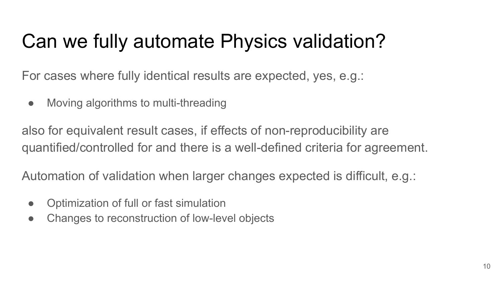## Can we fully automate Physics validation?

For cases where fully identical results are expected, yes, e.g.:

• Moving algorithms to multi-threading

also for equivalent result cases, if effects of non-reproducibility are quantified/controlled for and there is a well-defined criteria for agreement.

Automation of validation when larger changes expected is difficult, e.g.:

- Optimization of full or fast simulation
- Changes to reconstruction of low-level objects